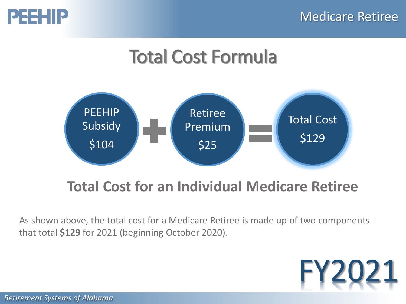

# Total Cost Formula



### **Total Cost for an Individual Medicare Retiree**

As shown above, the total cost for a Medicare Retiree is made up of two components that total **\$129** for 2021 (beginning October 2020).

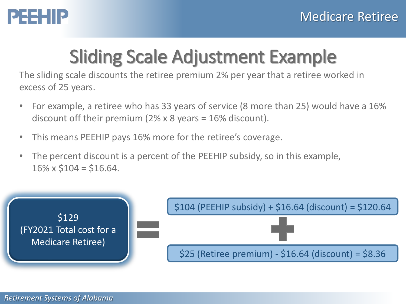

# Sliding Scale Adjustment Example

The sliding scale discounts the retiree premium 2% per year that a retiree worked in excess of 25 years.

- For example, a retiree who has 33 years of service (8 more than 25) would have a 16% discount off their premium (2% x 8 years = 16% discount).
- This means PEEHIP pays 16% more for the retiree's coverage.
- The percent discount is a percent of the PEEHIP subsidy, so in this example,  $16\% \times $104 = $16.64$ .

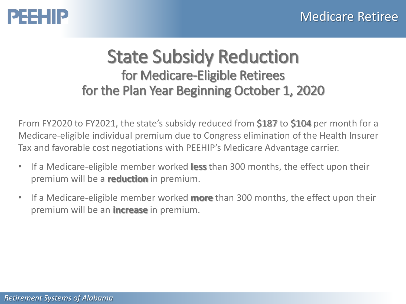

### State Subsidy Reduction for Medicare-Eligible Retirees for the Plan Year Beginning October 1, 2020

From FY2020 to FY2021, the state's subsidy reduced from \$187 to \$104 per month for a Medicare-eligible individual premium due to Congress elimination of the Health Insurer Tax and favorable cost negotiations with PEEHIP's Medicare Advantage carrier.

- If a Medicare-eligible member worked **less** than 300 months, the effect upon their premium will be a **reduction** in premium.
- If a Medicare-eligible member worked **more** than 300 months, the effect upon their premium will be an **increase** in premium.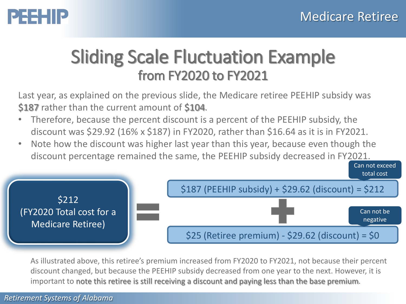## PEEHIP

## Sliding Scale Fluctuation Example from FY2020 to FY2021

Last year, as explained on the previous slide, the Medicare retiree PEEHIP subsidy was \$187 rather than the current amount of \$104.

- Therefore, because the percent discount is a percent of the PEEHIP subsidy, the discount was \$29.92 (16% x \$187) in FY2020, rather than \$16.64 as it is in FY2021.
- Note how the discount was higher last year than this year, because even though the discount percentage remained the same, the PEEHIP subsidy decreased in FY2021.

![](_page_3_Figure_6.jpeg)

As illustrated above, this retiree's premium increased from FY2020 to FY2021, not because their percent discount changed, but because the PEEHIP subsidy decreased from one year to the next. However, it is important to note this retiree is still receiving a discount and paying less than the base premium.

#### *Retirement Systems of Alabama*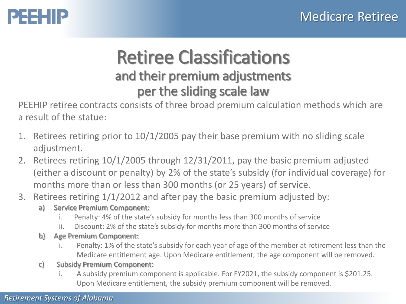## PEEHIP

### Retiree Classifications and their premium adjustments per the sliding scale law

PEEHIP retiree contracts consists of three broad premium calculation methods which are a result of the statue:

- 1. Retirees retiring prior to 10/1/2005 pay their base premium with no sliding scale adjustment.
- 2. Retirees retiring 10/1/2005 through 12/31/2011, pay the basic premium adjusted (either a discount or penalty) by 2% of the state's subsidy (for individual coverage) for months more than or less than 300 months (or 25 years) of service.
- 3. Retirees retiring 1/1/2012 and after pay the basic premium adjusted by:
	- a) Service Premium Component:
		- i. Penalty: 4% of the state's subsidy for months less than 300 months of service
		- ii. Discount: 2% of the state's subsidy for months more than 300 months of service
	- b) Age Premium Component:
		- i. Penalty: 1% of the state's subsidy for each year of age of the member at retirement less than the Medicare entitlement age. Upon Medicare entitlement, the age component will be removed.
	- c) Subsidy Premium Component:
		- i. A subsidy premium component is applicable. For FY2021, the subsidy component is \$201.25. Upon Medicare entitlement, the subsidy premium component will be removed.

#### *Retirement Systems of Alabama*